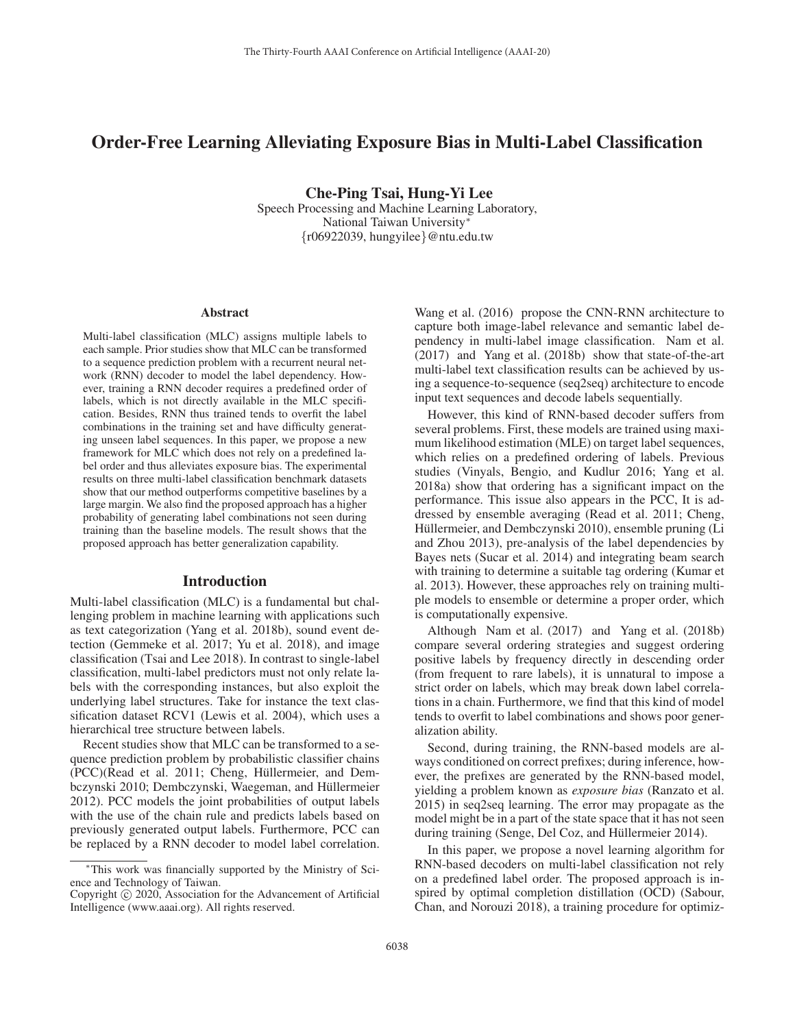# Order-Free Learning Alleviating Exposure Bias in Multi-Label Classification

Che-Ping Tsai, Hung-Yi Lee Speech Processing and Machine Learning Laboratory, National Taiwan University∗  $\{r06922039, \text{hungyilee}\}\@$ ntu.edu.tw

#### Abstract

Multi-label classification (MLC) assigns multiple labels to each sample. Prior studies show that MLC can be transformed to a sequence prediction problem with a recurrent neural network (RNN) decoder to model the label dependency. However, training a RNN decoder requires a predefined order of labels, which is not directly available in the MLC specification. Besides, RNN thus trained tends to overfit the label combinations in the training set and have difficulty generating unseen label sequences. In this paper, we propose a new framework for MLC which does not rely on a predefined label order and thus alleviates exposure bias. The experimental results on three multi-label classification benchmark datasets show that our method outperforms competitive baselines by a large margin. We also find the proposed approach has a higher probability of generating label combinations not seen during training than the baseline models. The result shows that the proposed approach has better generalization capability.

# Introduction

Multi-label classification (MLC) is a fundamental but challenging problem in machine learning with applications such as text categorization (Yang et al. 2018b), sound event detection (Gemmeke et al. 2017; Yu et al. 2018), and image classification (Tsai and Lee 2018). In contrast to single-label classification, multi-label predictors must not only relate labels with the corresponding instances, but also exploit the underlying label structures. Take for instance the text classification dataset RCV1 (Lewis et al. 2004), which uses a hierarchical tree structure between labels.

Recent studies show that MLC can be transformed to a sequence prediction problem by probabilistic classifier chains (PCC)(Read et al. 2011; Cheng, Hüllermeier, and Dembczynski 2010; Dembczynski, Waegeman, and Hüllermeier 2012). PCC models the joint probabilities of output labels with the use of the chain rule and predicts labels based on previously generated output labels. Furthermore, PCC can be replaced by a RNN decoder to model label correlation.

Wang et al. (2016) propose the CNN-RNN architecture to capture both image-label relevance and semantic label dependency in multi-label image classification. Nam et al. (2017) and Yang et al. (2018b) show that state-of-the-art multi-label text classification results can be achieved by using a sequence-to-sequence (seq2seq) architecture to encode input text sequences and decode labels sequentially.

However, this kind of RNN-based decoder suffers from several problems. First, these models are trained using maximum likelihood estimation (MLE) on target label sequences, which relies on a predefined ordering of labels. Previous studies (Vinyals, Bengio, and Kudlur 2016; Yang et al. 2018a) show that ordering has a significant impact on the performance. This issue also appears in the PCC, It is addressed by ensemble averaging (Read et al. 2011; Cheng, Hüllermeier, and Dembczynski 2010), ensemble pruning (Li and Zhou 2013), pre-analysis of the label dependencies by Bayes nets (Sucar et al. 2014) and integrating beam search with training to determine a suitable tag ordering (Kumar et al. 2013). However, these approaches rely on training multiple models to ensemble or determine a proper order, which is computationally expensive.

Although Nam et al. (2017) and Yang et al. (2018b) compare several ordering strategies and suggest ordering positive labels by frequency directly in descending order (from frequent to rare labels), it is unnatural to impose a strict order on labels, which may break down label correlations in a chain. Furthermore, we find that this kind of model tends to overfit to label combinations and shows poor generalization ability.

Second, during training, the RNN-based models are always conditioned on correct prefixes; during inference, however, the prefixes are generated by the RNN-based model, yielding a problem known as *exposure bias* (Ranzato et al. 2015) in seq2seq learning. The error may propagate as the model might be in a part of the state space that it has not seen during training (Senge, Del Coz, and Hüllermeier 2014).

In this paper, we propose a novel learning algorithm for RNN-based decoders on multi-label classification not rely on a predefined label order. The proposed approach is inspired by optimal completion distillation (OCD) (Sabour, Chan, and Norouzi 2018), a training procedure for optimiz-

<sup>∗</sup>This work was financially supported by the Ministry of Science and Technology of Taiwan.

Copyright  $\odot$  2020, Association for the Advancement of Artificial Intelligence (www.aaai.org). All rights reserved.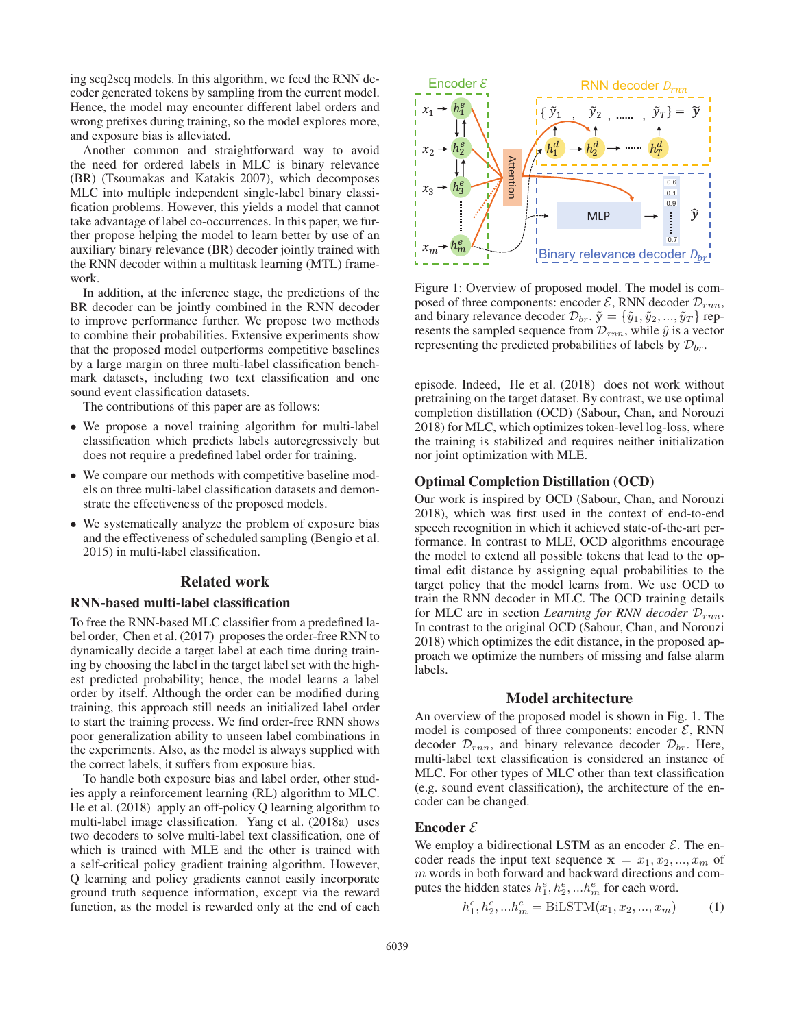ing seq2seq models. In this algorithm, we feed the RNN decoder generated tokens by sampling from the current model. Hence, the model may encounter different label orders and wrong prefixes during training, so the model explores more, and exposure bias is alleviated.

Another common and straightforward way to avoid the need for ordered labels in MLC is binary relevance (BR) (Tsoumakas and Katakis 2007), which decomposes MLC into multiple independent single-label binary classification problems. However, this yields a model that cannot take advantage of label co-occurrences. In this paper, we further propose helping the model to learn better by use of an auxiliary binary relevance (BR) decoder jointly trained with the RNN decoder within a multitask learning (MTL) framework.

In addition, at the inference stage, the predictions of the BR decoder can be jointly combined in the RNN decoder to improve performance further. We propose two methods to combine their probabilities. Extensive experiments show that the proposed model outperforms competitive baselines by a large margin on three multi-label classification benchmark datasets, including two text classification and one sound event classification datasets.

The contributions of this paper are as follows:

- We propose a novel training algorithm for multi-label classification which predicts labels autoregressively but does not require a predefined label order for training.
- We compare our methods with competitive baseline models on three multi-label classification datasets and demonstrate the effectiveness of the proposed models.
- We systematically analyze the problem of exposure bias and the effectiveness of scheduled sampling (Bengio et al. 2015) in multi-label classification.

# Related work

### RNN-based multi-label classification

To free the RNN-based MLC classifier from a predefined label order, Chen et al. (2017) proposes the order-free RNN to dynamically decide a target label at each time during training by choosing the label in the target label set with the highest predicted probability; hence, the model learns a label order by itself. Although the order can be modified during training, this approach still needs an initialized label order to start the training process. We find order-free RNN shows poor generalization ability to unseen label combinations in the experiments. Also, as the model is always supplied with the correct labels, it suffers from exposure bias.

To handle both exposure bias and label order, other studies apply a reinforcement learning (RL) algorithm to MLC. He et al. (2018) apply an off-policy Q learning algorithm to multi-label image classification. Yang et al. (2018a) uses two decoders to solve multi-label text classification, one of which is trained with MLE and the other is trained with a self-critical policy gradient training algorithm. However, Q learning and policy gradients cannot easily incorporate ground truth sequence information, except via the reward function, as the model is rewarded only at the end of each



Figure 1: Overview of proposed model. The model is composed of three components: encoder  $\mathcal{E}$ , RNN decoder  $\mathcal{D}_{rnn}$ , and binary relevance decoder  $\mathcal{D}_{br}$ .  $\tilde{\mathbf{y}} = {\tilde{y}_1, \tilde{y}_2, ..., \tilde{y}_T}$  represents the sampled sequence from  $\mathcal{D}_{rnn}$ , while  $\hat{y}$  is a vector representing the predicted probabilities of labels by  $\mathcal{D}_{br}$ .

episode. Indeed, He et al. (2018) does not work without pretraining on the target dataset. By contrast, we use optimal completion distillation (OCD) (Sabour, Chan, and Norouzi 2018) for MLC, which optimizes token-level log-loss, where the training is stabilized and requires neither initialization nor joint optimization with MLE.

### Optimal Completion Distillation (OCD)

Our work is inspired by OCD (Sabour, Chan, and Norouzi 2018), which was first used in the context of end-to-end speech recognition in which it achieved state-of-the-art performance. In contrast to MLE, OCD algorithms encourage the model to extend all possible tokens that lead to the optimal edit distance by assigning equal probabilities to the target policy that the model learns from. We use OCD to train the RNN decoder in MLC. The OCD training details for MLC are in section *Learning for RNN decoder*  $\mathcal{D}_{rnn}$ . In contrast to the original OCD (Sabour, Chan, and Norouzi 2018) which optimizes the edit distance, in the proposed approach we optimize the numbers of missing and false alarm labels.

## Model architecture

An overview of the proposed model is shown in Fig. 1. The model is composed of three components: encoder  $\mathcal{E}$ , RNN decoder  $\mathcal{D}_{rnn}$ , and binary relevance decoder  $\mathcal{D}_{br}$ . Here, multi-label text classification is considered an instance of MLC. For other types of MLC other than text classification (e.g. sound event classification), the architecture of the encoder can be changed.

## Encoder  $\mathcal E$

We employ a bidirectional LSTM as an encoder  $\mathcal{E}$ . The encoder reads the input text sequence  $x = x_1, x_2, ..., x_m$  of m words in both forward and backward directions and computes the hidden states  $h_1^e, h_2^e, ... h_m^e$  for each word.

$$
h_1^e, h_2^e, ... h_m^e = \text{BiLSTM}(x_1, x_2, ..., x_m)
$$
 (1)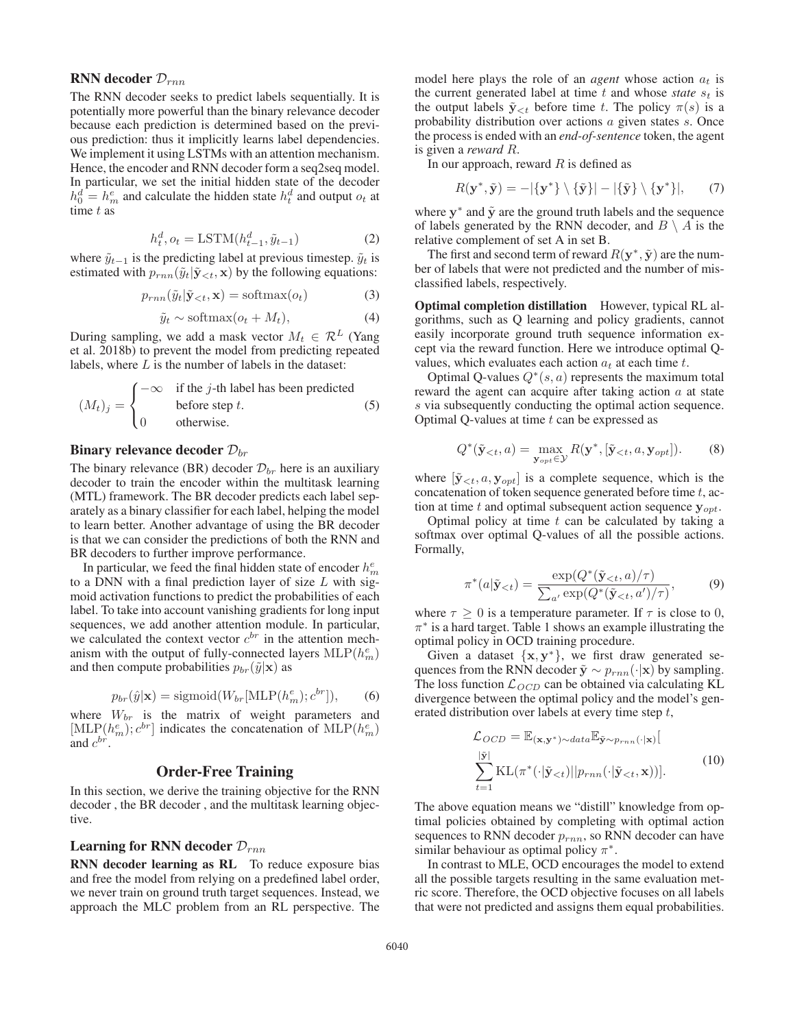# RNN decoder  $\mathcal{D}_{rnn}$

The RNN decoder seeks to predict labels sequentially. It is potentially more powerful than the binary relevance decoder because each prediction is determined based on the previous prediction: thus it implicitly learns label dependencies. We implement it using LSTMs with an attention mechanism. Hence, the encoder and RNN decoder form a seq2seq model. In particular, we set the initial hidden state of the decoder  $h_0^d = h_m^e$  and calculate the hidden state  $h_t^d$  and output  $o_t$  at time t as time t as

$$
h_t^d, o_t = \text{LSTM}(h_{t-1}^d, \tilde{y}_{t-1})
$$
\n(2)

where  $\tilde{y}_{t-1}$  is the predicting label at previous timestep.  $\tilde{y}_t$  is estimated with  $p_{\text{max}}(\tilde{y}_t | \tilde{\mathbf{y}} \leq t, \mathbf{x})$  by the following equations: estimated with  $p_{rnn}(\tilde{y}_t|\tilde{\mathbf{y}}_{< t}, \mathbf{x})$  by the following equations:

$$
p_{rnn}(\tilde{y}_t|\tilde{\mathbf{y}}_{< t}, \mathbf{x}) = \text{softmax}(o_t) \tag{3}
$$

$$
\tilde{y}_t \sim \text{softmax}(o_t + M_t),\tag{4}
$$

During sampling, we add a mask vector  $M_t \in \mathcal{R}^L$  (Yang et al. 2018b) to prevent the model from predicting repeated et al. 2018b) to prevent the model from predicting repeated labels, where  $L$  is the number of labels in the dataset:

$$
(M_t)_j = \begin{cases}\n-\infty & \text{if the } j\text{-th label has been predicted} \\
0 & \text{otherwise.} \n\end{cases}
$$
\n(5)

## Binary relevance decoder  $\mathcal{D}_{br}$

The binary relevance (BR) decoder  $\mathcal{D}_{br}$  here is an auxiliary decoder to train the encoder within the multitask learning (MTL) framework. The BR decoder predicts each label separately as a binary classifier for each label, helping the model to learn better. Another advantage of using the BR decoder is that we can consider the predictions of both the RNN and BR decoders to further improve performance.

In particular, we feed the final hidden state of encoder  $h_m^e$ <br>a DNN with a final prediction layer of size L with sigto a DNN with a final prediction layer of size  $L$  with sigmoid activation functions to predict the probabilities of each label. To take into account vanishing gradients for long input sequences, we add another attention module. In particular, we calculated the context vector  $c^{br}$  in the attention mechanism with the output of fully-connected layers  $MLP(h_m^e)$ <br>and then compute probabilities  $n_w(\tilde{u}|\mathbf{x})$  as and then compute probabilities  $p_{br}(\tilde{y}|\mathbf{x})$  as

$$
p_{br}(\hat{y}|\mathbf{x}) = \text{sigmoid}(W_{br}[\text{MLP}(h_m^e); c^{br}]),\tag{6}
$$

where  $W_{br}$  is the matrix of weight parameters and  $[MLP(b^e) \cdot c^{br}]$  indicates the concatenation of  $MLP(b^e)$ [MLP( $h_m^e$ );  $c^{br}$ ] indicates the concatenation of MLP( $h_m^e$ ) and  $c^{br}$ .

# Order-Free Training

In this section, we derive the training objective for the RNN decoder , the BR decoder , and the multitask learning objective.

## Learning for RNN decoder  $\mathcal{D}_{rnn}$

RNN decoder learning as RL To reduce exposure bias and free the model from relying on a predefined label order, we never train on ground truth target sequences. Instead, we approach the MLC problem from an RL perspective. The

model here plays the role of an *agent* whose action  $a_t$  is the current generated label at time  $t$  and whose *state*  $s_t$  is the output labels  $\tilde{\mathbf{y}}_{< t}$  before time t. The policy  $\pi(s)$  is a probability distribution over actions a given states s. Once the process is ended with an *end-of-sentence* token, the agent is given a *reward* R.

In our approach, reward  $R$  is defined as

$$
R(\mathbf{y}^*, \tilde{\mathbf{y}}) = -|\{\mathbf{y}^*\} \setminus {\{\tilde{\mathbf{y}}\}}| - |\{\tilde{\mathbf{y}}\} \setminus {\{\mathbf{y}^*\}}|, \qquad (7)
$$

where  $y^*$  and  $\tilde{y}$  are the ground truth labels and the sequence of labels generated by the RNN decoder, and  $B \setminus A$  is the relative complement of set A in set B.

The first and second term of reward  $R(\mathbf{y}^*, \tilde{\mathbf{y}})$  are the number of labels that were not predicted and the number of misclassified labels, respectively.

Optimal completion distillation However, typical RL algorithms, such as Q learning and policy gradients, cannot easily incorporate ground truth sequence information except via the reward function. Here we introduce optimal Qvalues, which evaluates each action  $a_t$  at each time t.

Optimal Q-values  $Q^*(s, a)$  represents the maximum total reward the agent can acquire after taking action  $a$  at state s via subsequently conducting the optimal action sequence. Optimal Q-values at time  $t$  can be expressed as

$$
Q^*(\tilde{\mathbf{y}}_{< t}, a) = \max_{\mathbf{y}_{opt} \in \mathcal{Y}} R(\mathbf{y}^*, [\tilde{\mathbf{y}}_{< t}, a, \mathbf{y}_{opt}]). \tag{8}
$$

where  $[\tilde{\mathbf{y}}_{\leq t}, a, \mathbf{y}_{opt}]$  is a complete sequence, which is the concatenation of token sequence generated before time  $t$ , action at time t and optimal subsequent action sequence  $\mathbf{y}_{opt}$ .

Optimal policy at time  $t$  can be calculated by taking a softmax over optimal Q-values of all the possible actions. Formally,

$$
\pi^*(a|\tilde{\mathbf{y}}_{(9)
$$

where  $\tau \geq 0$  is a temperature parameter. If  $\tau$  is close to 0,  $\pi^*$  is a hard target Table 1 shows an example illustrating the  $\pi^*$  is a hard target. Table 1 shows an example illustrating the optimal policy in OCD training procedure.

Given a dataset  $\{x, y^*\}$ , we first draw generated sequences from the RNN decoder  $\tilde{\mathbf{y}} \sim p_{rnn}(\cdot|\mathbf{x})$  by sampling. The loss function  $\mathcal{L}_{OCD}$  can be obtained via calculating KL divergence between the optimal policy and the model's generated distribution over labels at every time step  $t$ ,

$$
\mathcal{L}_{OCD} = \mathbb{E}_{(\mathbf{x}, \mathbf{y}^*) \sim data} \mathbb{E}_{\tilde{\mathbf{y}} \sim p_{rnn}(\cdot|\mathbf{x})}[\n\sum_{t=1}^{|\tilde{\mathbf{y}}|} \text{KL}(\pi^*(\cdot|\tilde{\mathbf{y}}_{\n(10)
$$

The above equation means we "distill" knowledge from optimal policies obtained by completing with optimal action sequences to RNN decoder  $p_{rnn}$ , so RNN decoder can have similar behaviour as optimal policy  $\pi^*$ .

In contrast to MLE, OCD encourages the model to extend all the possible targets resulting in the same evaluation metric score. Therefore, the OCD objective focuses on all labels that were not predicted and assigns them equal probabilities.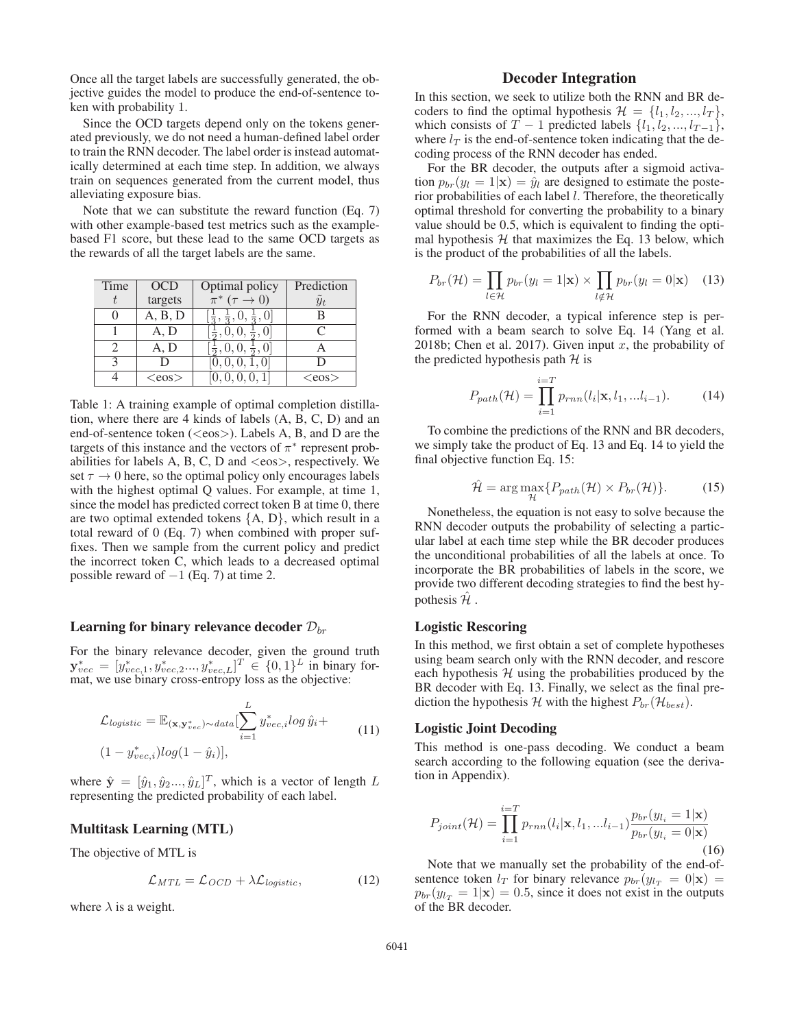Once all the target labels are successfully generated, the objective guides the model to produce the end-of-sentence token with probability 1.

Since the OCD targets depend only on the tokens generated previously, we do not need a human-defined label order to train the RNN decoder. The label order is instead automatically determined at each time step. In addition, we always train on sequences generated from the current model, thus alleviating exposure bias.

Note that we can substitute the reward function (Eq. 7) with other example-based test metrics such as the examplebased F1 score, but these lead to the same OCD targets as the rewards of all the target labels are the same.

| Time | <b>OCD</b>  | Optimal policy                                        | Prediction |
|------|-------------|-------------------------------------------------------|------------|
|      | targets     | $\pi^*$ $(\tau \to 0)$                                | $y_t$      |
|      | A, B, D     | $\left[\frac{1}{3},\frac{1}{3},0,\frac{1}{3},\right]$ | в          |
|      | A, D        |                                                       | C          |
| 2    | A, D        |                                                       |            |
|      | I)          | [0, 0, 0, 1, 0]                                       | Ð          |
|      | $<$ eos $>$ | 0, 0, 0, 0, 1                                         | $<\cos>$   |
|      |             |                                                       |            |

Table 1: A training example of optimal completion distillation, where there are 4 kinds of labels (A, B, C, D) and an end-of-sentence token ( $\langle e\cos \rangle$ ). Labels A, B, and D are the targets of this instance and the vectors of  $\pi^*$  represent probabilities for labels A, B, C, D and  $\langle e \cos \rangle$ , respectively. We set  $\tau \to 0$  here, so the optimal policy only encourages labels with the highest optimal Q values. For example, at time 1, since the model has predicted correct token B at time 0, there are two optimal extended tokens  ${A, D}$ , which result in a total reward of 0 (Eq. 7) when combined with proper suffixes. Then we sample from the current policy and predict the incorrect token C, which leads to a decreased optimal possible reward of  $-1$  (Eq. 7) at time 2.

# Learning for binary relevance decoder  $\mathcal{D}_{br}$

For the binary relevance decoder, given the ground truth  $\mathbf{y}_{vec}^* = [y_{vec,1}^*, y_{vec,2}^*, \dots, y_{vec,L}^*]^T \in \{0,1\}^L$  in binary for-<br>mat, we use binary cross-entropy loss as the objective:

$$
\mathcal{L}_{logistic} = \mathbb{E}_{(\mathbf{x}, \mathbf{y}_{vec}^*) \sim data} \left[ \sum_{i=1}^L y_{vec,i}^* \log \hat{y}_i + (1 - y_{vec,i}^*) \log (1 - \hat{y}_i) \right],
$$
\n(11)

where  $\hat{\mathbf{y}} = [\hat{y}_1, \hat{y}_2, ..., \hat{y}_L]^T$ , which is a vector of length L<br>representing the predicted probability of each label representing the predicted probability of each label.

### Multitask Learning (MTL)

The objective of MTL is

$$
\mathcal{L}_{MTL} = \mathcal{L}_{OCD} + \lambda \mathcal{L}_{logistic},\tag{12}
$$

where  $\lambda$  is a weight.

# Decoder Integration

In this section, we seek to utilize both the RNN and BR decoders to find the optimal hypothesis  $\mathcal{H} = \{l_1, l_2, ..., l_T\},\$ which consists of  $T - 1$  predicted labels  $\{l_1, l_2, ..., l_{T-1}\},$ where  $l_T$  is the end-of-sentence token indicating that the decoding process of the RNN decoder has ended.

For the BR decoder, the outputs after a sigmoid activation  $p_{br}(y_l = 1|\mathbf{x}) = \hat{y}_l$  are designed to estimate the posterior probabilities of each label l. Therefore, the theoretically optimal threshold for converting the probability to a binary value should be 0.5, which is equivalent to finding the optimal hypothesis  $H$  that maximizes the Eq. 13 below, which is the product of the probabilities of all the labels.

$$
P_{br}(\mathcal{H}) = \prod_{l \in \mathcal{H}} p_{br}(y_l = 1 | \mathbf{x}) \times \prod_{l \notin \mathcal{H}} p_{br}(y_l = 0 | \mathbf{x}) \quad (13)
$$

For the RNN decoder, a typical inference step is performed with a beam search to solve Eq. 14 (Yang et al. 2018b; Chen et al. 2017). Given input x, the probability of the predicted hypothesis path  $H$  is

$$
P_{path}(\mathcal{H}) = \prod_{i=1}^{i=T} p_{rnn}(l_i|\mathbf{x}, l_1, \dots l_{i-1}).
$$
 (14)

To combine the predictions of the RNN and BR decoders, we simply take the product of Eq. 13 and Eq. 14 to yield the final objective function Eq. 15:

$$
\hat{\mathcal{H}} = \arg\max_{\mathcal{H}} \{ P_{path}(\mathcal{H}) \times P_{br}(\mathcal{H}) \}.
$$
 (15)

Nonetheless, the equation is not easy to solve because the RNN decoder outputs the probability of selecting a particular label at each time step while the BR decoder produces the unconditional probabilities of all the labels at once. To incorporate the BR probabilities of labels in the score, we provide two different decoding strategies to find the best hypothesis  $H$ .

#### Logistic Rescoring

In this method, we first obtain a set of complete hypotheses using beam search only with the RNN decoder, and rescore each hypothesis  $H$  using the probabilities produced by the BR decoder with Eq. 13. Finally, we select as the final prediction the hypothesis H with the highest  $P_{br}(\mathcal{H}_{best})$ .

### Logistic Joint Decoding

This method is one-pass decoding. We conduct a beam search according to the following equation (see the derivation in Appendix).

$$
P_{joint}(\mathcal{H}) = \prod_{i=1}^{i=T} p_{rnn}(l_i|\mathbf{x}, l_1, ... l_{i-1}) \frac{p_{br}(y_{l_i} = 1|\mathbf{x})}{p_{br}(y_{l_i} = 0|\mathbf{x})}
$$
(16)

Note that we manually set the probability of the end-ofsentence token  $l_T$  for binary relevance  $p_{br}(y_{l_T} = 0|\mathbf{x}) =$  $p_{br}(y_{1T} = 1|\mathbf{x}) = 0.5$ , since it does not exist in the outputs of the BR decoder.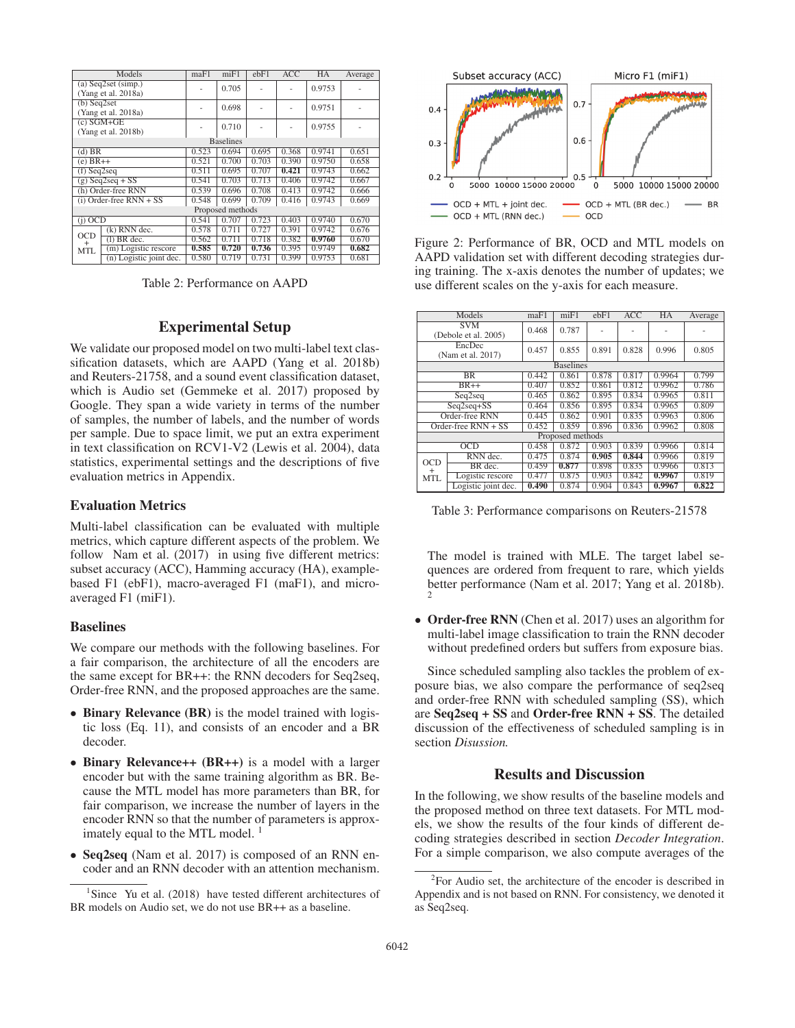| Models                                         |                                     | maF1  | m <sub>i</sub> F1 | ebF1  | <b>ACC</b> | <b>HA</b> | Average |
|------------------------------------------------|-------------------------------------|-------|-------------------|-------|------------|-----------|---------|
| $(a)$ Seq2set $(simp.)$<br>(Yang et al. 2018a) |                                     |       | 0.705             |       |            | 0.9753    |         |
| $(b)$ Seq2set<br>(Yang et al. 2018a)           |                                     |       | 0.698             |       |            | 0.9751    |         |
|                                                | $(c)$ SGM+GE<br>(Yang et al. 2018b) |       | 0.710             |       |            | 0.9755    |         |
|                                                |                                     |       | <b>Baselines</b>  |       |            |           |         |
| (d) BR                                         |                                     | 0.523 | 0.694             | 0.695 | 0.368      | 0.9741    | 0.651   |
|                                                | $(e) BR++$                          |       | 0.700             | 0.703 | 0.390      | 0.9750    | 0.658   |
|                                                | $(f)$ Seq2seq                       |       | 0.695             | 0.707 | 0.421      | 0.9743    | 0.662   |
|                                                | $(g)$ Seq2seq + SS                  | 0.541 | 0.703             | 0.713 | 0.406      | 0.9742    | 0.667   |
|                                                | (h) Order-free RNN                  | 0.539 | 0.696             | 0.708 | 0.413      | 0.9742    | 0.666   |
|                                                | $(i)$ Order-free RNN + SS           | 0.548 | 0.699             | 0.709 | 0.416      | 0.9743    | 0.669   |
|                                                |                                     |       | Proposed methods  |       |            |           |         |
| $(i)$ OCD                                      |                                     | 0.541 | 0.707             | 0.723 | 0.403      | 0.9740    | 0.670   |
| $(k)$ RNN dec.                                 |                                     | 0.578 | 0.711             | 0.727 | 0.391      | 0.9742    | 0.676   |
| <b>OCD</b><br>$^{+}$                           | $(1)$ BR dec.                       | 0.562 | 0.711             | 0.718 | 0.382      | 0.9760    | 0.670   |
| MTL                                            | (m) Logistic rescore                | 0.585 | 0.720             | 0.736 | 0.395      | 0.9749    | 0.682   |
|                                                | $(n)$ Logistic joint dec.           | 0.580 | 0.719             | 0.731 | 0.399      | 0.9753    | 0.681   |

Table 2: Performance on AAPD

# Experimental Setup

We validate our proposed model on two multi-label text classification datasets, which are AAPD (Yang et al. 2018b) and Reuters-21758, and a sound event classification dataset, which is Audio set (Gemmeke et al. 2017) proposed by Google. They span a wide variety in terms of the number of samples, the number of labels, and the number of words per sample. Due to space limit, we put an extra experiment in text classification on RCV1-V2 (Lewis et al. 2004), data statistics, experimental settings and the descriptions of five evaluation metrics in Appendix.

# Evaluation Metrics

Multi-label classification can be evaluated with multiple metrics, which capture different aspects of the problem. We follow Nam et al. (2017) in using five different metrics: subset accuracy (ACC), Hamming accuracy (HA), examplebased F1 (ebF1), macro-averaged F1 (maF1), and microaveraged F1 (miF1).

# Baselines

We compare our methods with the following baselines. For a fair comparison, the architecture of all the encoders are the same except for BR++: the RNN decoders for Seq2seq, Order-free RNN, and the proposed approaches are the same.

- Binary Relevance (BR) is the model trained with logistic loss (Eq. 11), and consists of an encoder and a BR decoder.
- Binary Relevance++ (BR++) is a model with a larger encoder but with the same training algorithm as BR. Because the MTL model has more parameters than BR, for fair comparison, we increase the number of layers in the encoder RNN so that the number of parameters is approximately equal to the MTL model.<sup>1</sup>
- Seq2seq (Nam et al. 2017) is composed of an RNN encoder and an RNN decoder with an attention mechanism.



Figure 2: Performance of BR, OCD and MTL models on AAPD validation set with different decoding strategies during training. The x-axis denotes the number of updates; we use different scales on the y-axis for each measure.

| Models                             |                       | maF1  | $m$ i $F1$       | ebF1  | ACC   | HA     | Average |
|------------------------------------|-----------------------|-------|------------------|-------|-------|--------|---------|
| <b>SVM</b><br>(Debole et al. 2005) |                       | 0.468 | 0.787            |       |       |        |         |
| EncDec<br>(Nam et al. 2017)        |                       | 0.457 | 0.855            | 0.891 | 0.828 | 0.996  | 0.805   |
|                                    |                       |       | <b>Baselines</b> |       |       |        |         |
|                                    | <b>BR</b>             | 0.442 | 0.861            | 0.878 | 0.817 | 0.9964 | 0.799   |
|                                    | $BR++$                | 0.407 | 0.852            | 0.861 | 0.812 | 0.9962 | 0.786   |
|                                    | Seq2seq               | 0.465 | 0.862            | 0.895 | 0.834 | 0.9965 | 0.811   |
| $Seq2seq + SS$                     |                       | 0.464 | 0.856            | 0.895 | 0.834 | 0.9965 | 0.809   |
|                                    | Order-free RNN        | 0.445 | 0.862            | 0.901 | 0.835 | 0.9963 | 0.806   |
|                                    | Order-free $RNN + SS$ | 0.452 | 0.859            | 0.896 | 0.836 | 0.9962 | 0.808   |
|                                    |                       |       | Proposed methods |       |       |        |         |
| OCD                                |                       | 0.458 | 0.872            | 0.903 | 0.839 | 0.9966 | 0.814   |
|                                    | RNN dec.              | 0.475 | 0.874            | 0.905 | 0.844 | 0.9966 | 0.819   |
| OCD<br>$^{+}$                      | BR dec.               | 0.459 | 0.877            | 0.898 | 0.835 | 0.9966 | 0.813   |
| <b>MTL</b>                         | Logistic rescore      | 0.477 | 0.875            | 0.903 | 0.842 | 0.9967 | 0.819   |
|                                    | Logistic joint dec.   | 0.490 | 0.874            | 0.904 | 0.843 | 0.9967 | 0.822   |

Table 3: Performance comparisons on Reuters-21578

The model is trained with MLE. The target label sequences are ordered from frequent to rare, which yields better performance (Nam et al. 2017; Yang et al. 2018b). 2

• Order-free RNN (Chen et al. 2017) uses an algorithm for multi-label image classification to train the RNN decoder without predefined orders but suffers from exposure bias.

Since scheduled sampling also tackles the problem of exposure bias, we also compare the performance of seq2seq and order-free RNN with scheduled sampling (SS), which are Seq2seq + SS and Order-free RNN + SS. The detailed discussion of the effectiveness of scheduled sampling is in section *Disussion.*

# Results and Discussion

In the following, we show results of the baseline models and the proposed method on three text datasets. For MTL models, we show the results of the four kinds of different decoding strategies described in section *Decoder Integration*. For a simple comparison, we also compute averages of the

<sup>&</sup>lt;sup>1</sup>Since Yu et al. (2018) have tested different architectures of BR models on Audio set, we do not use BR++ as a baseline.

<sup>&</sup>lt;sup>2</sup>For Audio set, the architecture of the encoder is described in Appendix and is not based on RNN. For consistency, we denoted it as Seq2seq.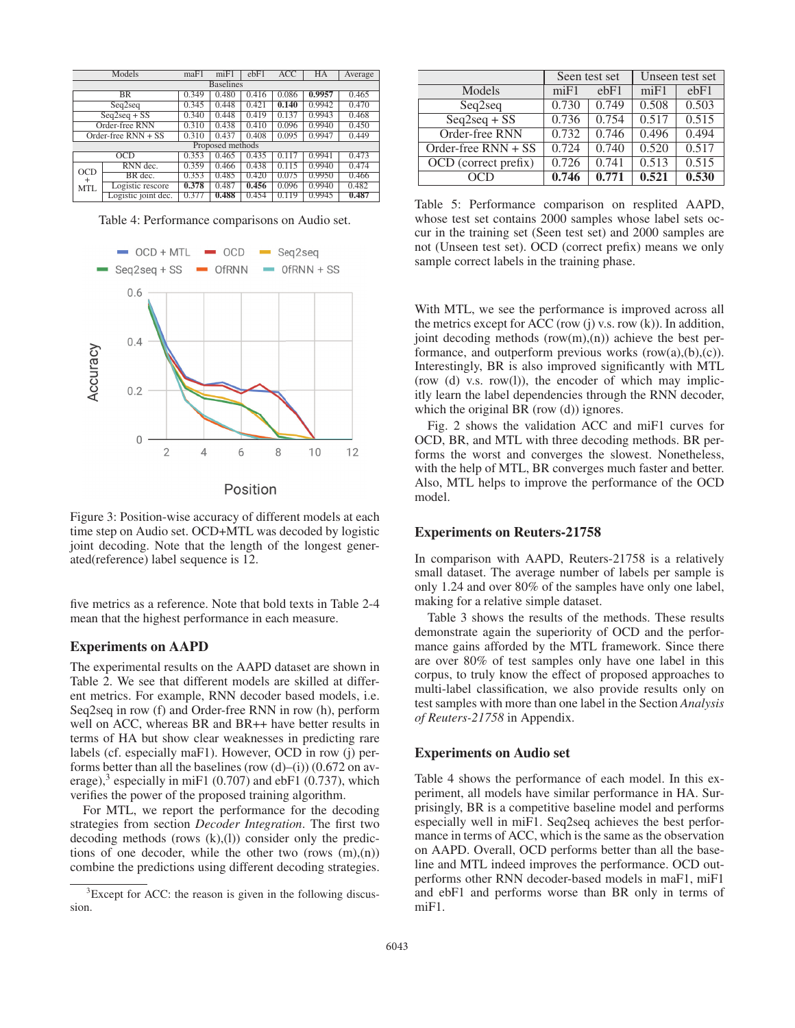| Models         |                       | maF1  | m <sub>i</sub> F1 | $e$ <sub>b</sub> $F$ <sup>1</sup> | <b>ACC</b> | HA     | Average |
|----------------|-----------------------|-------|-------------------|-----------------------------------|------------|--------|---------|
|                | <b>Baselines</b>      |       |                   |                                   |            |        |         |
|                | <b>BR</b>             | 0.349 | 0.480             | 0.416                             | 0.086      | 0.9957 | 0.465   |
|                | Seq2seq               | 0.345 | 0.448             | 0.421                             | 0.140      | 0.9942 | 0.470   |
|                | $Seq2seq + SS$        | 0.340 | 0.448             | 0.419                             | 0.137      | 0.9943 | 0.468   |
| Order-free RNN |                       | 0.310 | 0.438             | 0.410                             | 0.096      | 0.9940 | 0.450   |
|                | Order-free $RNN + SS$ | 0.310 | 0.437             | 0.408                             | 0.095      | 0.9947 | 0.449   |
|                | Proposed methods      |       |                   |                                   |            |        |         |
| OCD            |                       | 0.353 | 0.465             | 0.435                             | 0.117      | 0.9941 | 0.473   |
| OCD            | RNN dec.              | 0.359 | 0.466             | 0.438                             | 0.115      | 0.9940 | 0.474   |
| $\pm$<br>MTL   | BR dec.               | 0.353 | 0.485             | 0.420                             | 0.075      | 0.9950 | 0.466   |
|                | Logistic rescore      | 0.378 | 0.487             | 0.456                             | 0.096      | 0.9940 | 0.482   |
|                | Logistic joint dec.   | 0.377 | 0.488             | 0.454                             | 0.119      | 0.9945 | 0.487   |

Table 4: Performance comparisons on Audio set.



Figure 3: Position-wise accuracy of different models at each time step on Audio set. OCD+MTL was decoded by logistic joint decoding. Note that the length of the longest generated(reference) label sequence is 12.

five metrics as a reference. Note that bold texts in Table 2-4 mean that the highest performance in each measure.

### Experiments on AAPD

The experimental results on the AAPD dataset are shown in Table 2. We see that different models are skilled at different metrics. For example, RNN decoder based models, i.e. Seq2seq in row (f) and Order-free RNN in row (h), perform well on ACC, whereas BR and BR++ have better results in terms of HA but show clear weaknesses in predicting rare labels (cf. especially maF1). However, OCD in row (j) performs better than all the baselines (row  $(d)$ –(i)) (0.672 on average),<sup>3</sup> especially in miF1 (0.707) and ebF1 (0.737), which verifies the power of the proposed training algorithm.

For MTL, we report the performance for the decoding strategies from section *Decoder Integration*. The first two decoding methods (rows  $(k)(l)$ ) consider only the predictions of one decoder, while the other two (rows  $(m),(n)$ ) combine the predictions using different decoding strategies.

|                       |       | Seen test set                     | Unseen test set |       |
|-----------------------|-------|-----------------------------------|-----------------|-------|
| Models                | miF1  | $e$ <sub>b</sub> $F$ <sup>1</sup> | miF1            | ebF1  |
| Seq2seq               | 0.730 | 0.749                             | 0.508           | 0.503 |
| $Seq2seq + SS$        | 0.736 | 0.754                             | 0.517           | 0.515 |
| Order-free RNN        | 0.732 | 0.746                             | 0.496           | 0.494 |
| Order-free $RNN + SS$ | 0.724 | 0.740                             | 0.520           | 0.517 |
| OCD (correct prefix)  | 0.726 | 0.741                             | 0.513           | 0.515 |
| OCD                   | 0.746 | 0.771                             | 0.521           | 0.530 |

Table 5: Performance comparison on resplited AAPD, whose test set contains 2000 samples whose label sets occur in the training set (Seen test set) and 2000 samples are not (Unseen test set). OCD (correct prefix) means we only sample correct labels in the training phase.

With MTL, we see the performance is improved across all the metrics except for ACC (row  $(i)$  v.s. row  $(k)$ ). In addition, joint decoding methods  $(row(m),(n))$  achieve the best performance, and outperform previous works  $(row(a),(b),(c))$ . Interestingly, BR is also improved significantly with MTL (row (d) v.s. row(l)), the encoder of which may implicitly learn the label dependencies through the RNN decoder, which the original BR (row (d)) ignores.

Fig. 2 shows the validation ACC and miF1 curves for OCD, BR, and MTL with three decoding methods. BR performs the worst and converges the slowest. Nonetheless, with the help of MTL, BR converges much faster and better. Also, MTL helps to improve the performance of the OCD model.

#### Experiments on Reuters-21758

In comparison with AAPD, Reuters-21758 is a relatively small dataset. The average number of labels per sample is only 1.24 and over 80% of the samples have only one label, making for a relative simple dataset.

Table 3 shows the results of the methods. These results demonstrate again the superiority of OCD and the performance gains afforded by the MTL framework. Since there are over 80% of test samples only have one label in this corpus, to truly know the effect of proposed approaches to multi-label classification, we also provide results only on test samples with more than one label in the Section *Analysis of Reuters-21758* in Appendix.

### Experiments on Audio set

Table 4 shows the performance of each model. In this experiment, all models have similar performance in HA. Surprisingly, BR is a competitive baseline model and performs especially well in miF1. Seq2seq achieves the best performance in terms of ACC, which is the same as the observation on AAPD. Overall, OCD performs better than all the baseline and MTL indeed improves the performance. OCD outperforms other RNN decoder-based models in maF1, miF1 and ebF1 and performs worse than BR only in terms of miF1.

 ${}^{3}$ Except for ACC: the reason is given in the following discussion.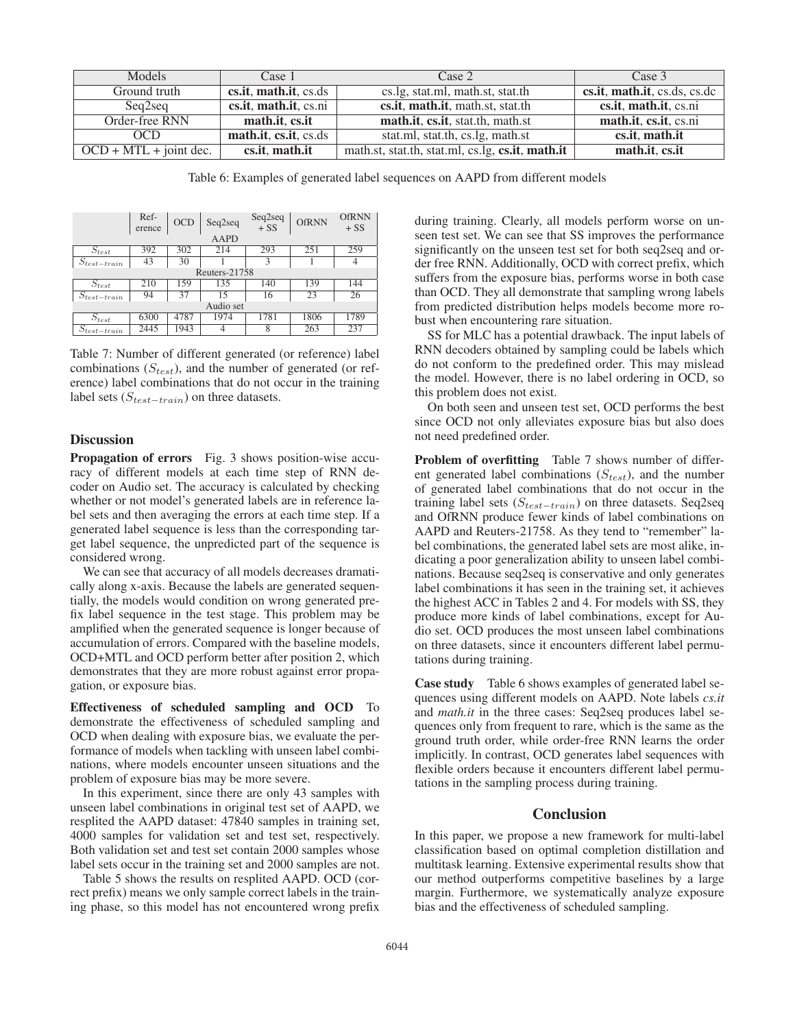| Models                   | Case 1                | Case 2                                           | Case 3                       |
|--------------------------|-----------------------|--------------------------------------------------|------------------------------|
| Ground truth             | cs.it, math.it, cs.ds | cs.lg, stat.ml, math.st, stat.th                 | cs.it, math.it, cs.ds, cs.dc |
| Seq2seq                  | cs.it, math.it, cs.ni | cs.it, math.it, math.st, stat.th                 | cs.it, math.it, cs.ni        |
| Order-free RNN           | math.it. cs.it        | math.it, cs.it, stat.th, math.st                 | math.it, cs.it, cs.ni        |
| OCD                      | math.it, cs.it, cs.ds | stat.ml, stat.th, cs.lg, math.st                 | cs.it, math.it               |
| $OCD + MTL + joint dec.$ | cs.it, math.it        | math.st, stat.th, stat.ml, cs.lg, cs.it, math.it | math.it, cs.it               |

Table 6: Examples of generated label sequences on AAPD from different models

|                             | Ref-<br>erence | <b>OCD</b> | Seq2seq     | $Seq2seq$<br>+ SS | <b>OfRNN</b> | <b>OfRNN</b><br>$+SS$ |  |
|-----------------------------|----------------|------------|-------------|-------------------|--------------|-----------------------|--|
|                             |                |            | <b>AAPD</b> |                   |              |                       |  |
| $S_{test}$                  | 392            | 302        | 214         | 293               | 251          | 259                   |  |
| $S_{test-train}$            | 43             | 30         |             | 3                 |              |                       |  |
| Reuters- $217\overline{58}$ |                |            |             |                   |              |                       |  |
| $S_{test}$                  | 210            | 159        | 135         | 140               | 139          | 144                   |  |
| $S_{test-train}$            | 94             | 37         | 15          | 16                | 23           | 26                    |  |
| Audio set                   |                |            |             |                   |              |                       |  |
| $S_{test}$                  | 6300           | 4787       | 1974        | 1781              | 1806         | 1789                  |  |
| $S_{test-train}$            | 2445           | 1943       |             | 8                 | 263          | 237                   |  |
|                             |                |            |             |                   |              |                       |  |

Table 7: Number of different generated (or reference) label combinations  $(S_{test})$ , and the number of generated (or reference) label combinations that do not occur in the training label sets ( $S_{test-train}$ ) on three datasets.

# **Discussion**

Propagation of errors Fig. 3 shows position-wise accuracy of different models at each time step of RNN decoder on Audio set. The accuracy is calculated by checking whether or not model's generated labels are in reference label sets and then averaging the errors at each time step. If a generated label sequence is less than the corresponding target label sequence, the unpredicted part of the sequence is considered wrong.

We can see that accuracy of all models decreases dramatically along x-axis. Because the labels are generated sequentially, the models would condition on wrong generated prefix label sequence in the test stage. This problem may be amplified when the generated sequence is longer because of accumulation of errors. Compared with the baseline models, OCD+MTL and OCD perform better after position 2, which demonstrates that they are more robust against error propagation, or exposure bias.

Effectiveness of scheduled sampling and OCD To demonstrate the effectiveness of scheduled sampling and OCD when dealing with exposure bias, we evaluate the performance of models when tackling with unseen label combinations, where models encounter unseen situations and the problem of exposure bias may be more severe.

In this experiment, since there are only 43 samples with unseen label combinations in original test set of AAPD, we resplited the AAPD dataset: 47840 samples in training set, 4000 samples for validation set and test set, respectively. Both validation set and test set contain 2000 samples whose label sets occur in the training set and 2000 samples are not.

Table 5 shows the results on resplited AAPD. OCD (correct prefix) means we only sample correct labels in the training phase, so this model has not encountered wrong prefix during training. Clearly, all models perform worse on unseen test set. We can see that SS improves the performance significantly on the unseen test set for both seq2seq and order free RNN. Additionally, OCD with correct prefix, which suffers from the exposure bias, performs worse in both case than OCD. They all demonstrate that sampling wrong labels from predicted distribution helps models become more robust when encountering rare situation.

SS for MLC has a potential drawback. The input labels of RNN decoders obtained by sampling could be labels which do not conform to the predefined order. This may mislead the model. However, there is no label ordering in OCD, so this problem does not exist.

On both seen and unseen test set, OCD performs the best since OCD not only alleviates exposure bias but also does not need predefined order.

Problem of overfitting Table 7 shows number of different generated label combinations  $(S_{test})$ , and the number of generated label combinations that do not occur in the training label sets  $(S_{test-train})$  on three datasets. Seq2seq and OfRNN produce fewer kinds of label combinations on AAPD and Reuters-21758. As they tend to "remember" label combinations, the generated label sets are most alike, indicating a poor generalization ability to unseen label combinations. Because seq2seq is conservative and only generates label combinations it has seen in the training set, it achieves the highest ACC in Tables 2 and 4. For models with SS, they produce more kinds of label combinations, except for Audio set. OCD produces the most unseen label combinations on three datasets, since it encounters different label permutations during training.

Case study Table 6 shows examples of generated label sequences using different models on AAPD. Note labels *cs.it* and *math.it* in the three cases: Seq2seq produces label sequences only from frequent to rare, which is the same as the ground truth order, while order-free RNN learns the order implicitly. In contrast, OCD generates label sequences with flexible orders because it encounters different label permutations in the sampling process during training.

# **Conclusion**

In this paper, we propose a new framework for multi-label classification based on optimal completion distillation and multitask learning. Extensive experimental results show that our method outperforms competitive baselines by a large margin. Furthermore, we systematically analyze exposure bias and the effectiveness of scheduled sampling.